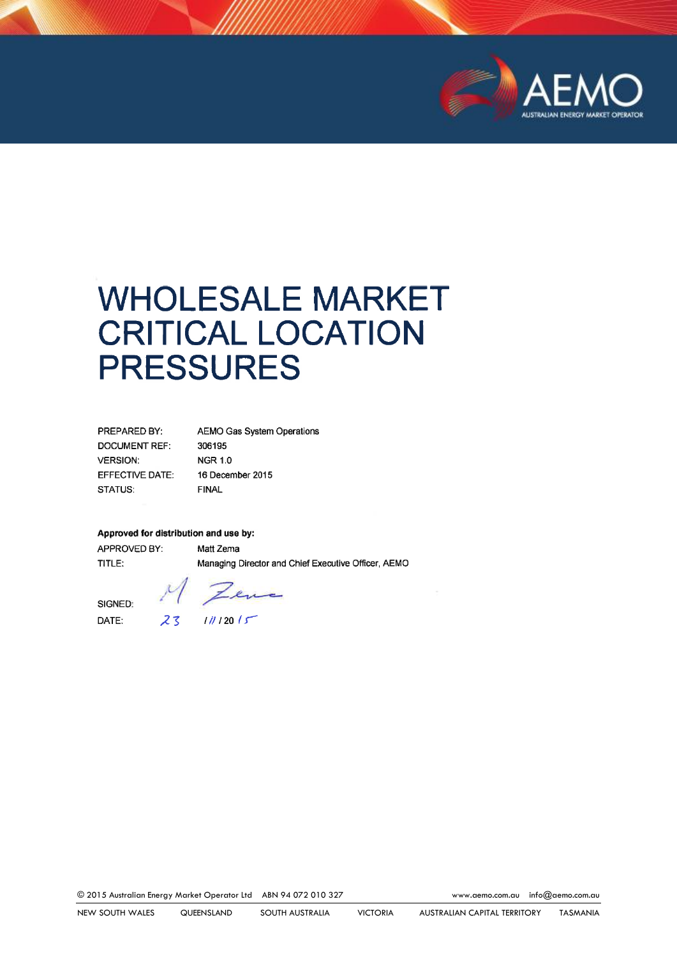

# WHOLESALE MARKET CRITICAL LOCATION PRESSURES

| <b>PREPARED BY:</b>    | <b>AEMO Gas System Operations</b> |
|------------------------|-----------------------------------|
| <b>DOCUMENT REF:</b>   | 306195                            |
| <b>VERSION:</b>        | <b>NGR 1.0</b>                    |
| <b>EFFECTIVE DATE:</b> | 16 December 2015                  |
| STATUS:                | <b>FINAL</b>                      |

#### **Approved for distribution and use by:**

APPROVED BY: Matt Zema TITLE: Managing Director and Chief Executive Officer, AEMO

ence

SIGNED: DATE:  $23$   $11/12015$ 

© 2015 Australian Energy Market Operator Ltd ABN 94 072 010 327 [www.aemo.com.au](http://www.aemo.com.au/) [info@aemo.com.au](mailto:info@aemo.com.au)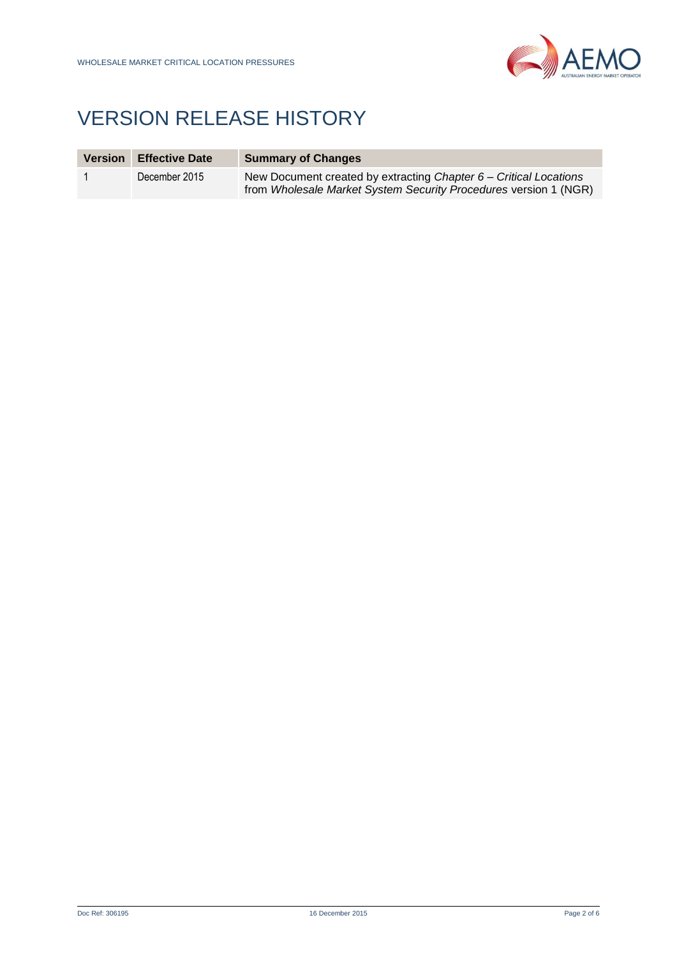

## VERSION RELEASE HISTORY

| <b>Version</b> | <b>Effective Date</b> | <b>Summary of Changes</b>                                                                                                               |
|----------------|-----------------------|-----------------------------------------------------------------------------------------------------------------------------------------|
|                | December 2015         | New Document created by extracting Chapter $6 -$ Critical Locations<br>from Wholesale Market System Security Procedures version 1 (NGR) |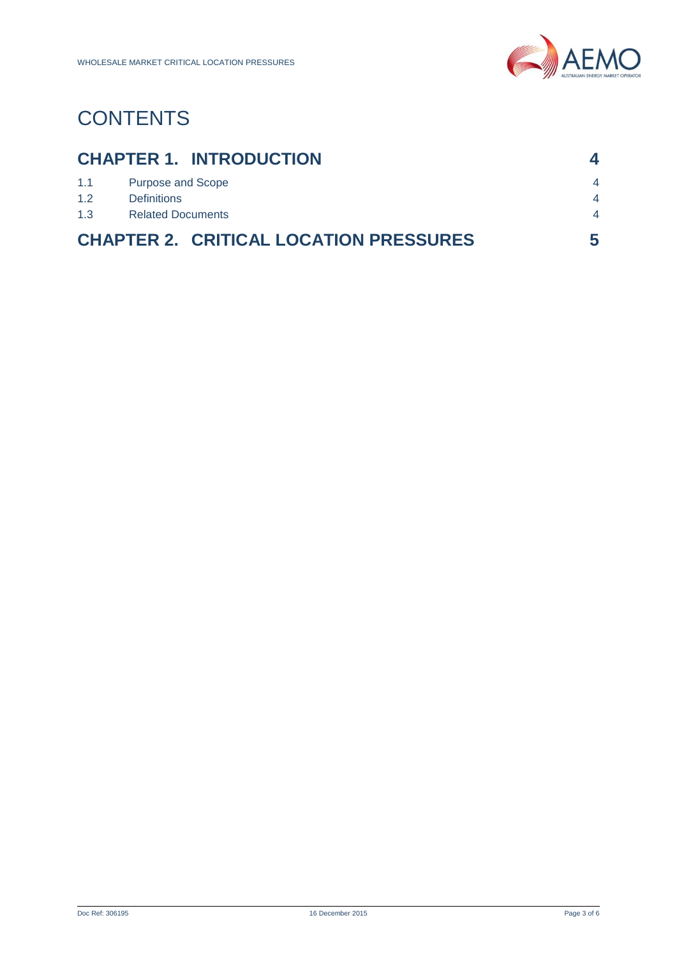

# **CONTENTS**

| <b>CHAPTER 1. INTRODUCTION</b>                |                          |                          |  |  |
|-----------------------------------------------|--------------------------|--------------------------|--|--|
| 1.1                                           | <b>Purpose and Scope</b> | $\overline{4}$           |  |  |
| 1.2                                           | <b>Definitions</b>       | $\boldsymbol{\varDelta}$ |  |  |
| 1.3                                           | <b>Related Documents</b> |                          |  |  |
| <b>CHAPTER 2. CRITICAL LOCATION PRESSURES</b> |                          |                          |  |  |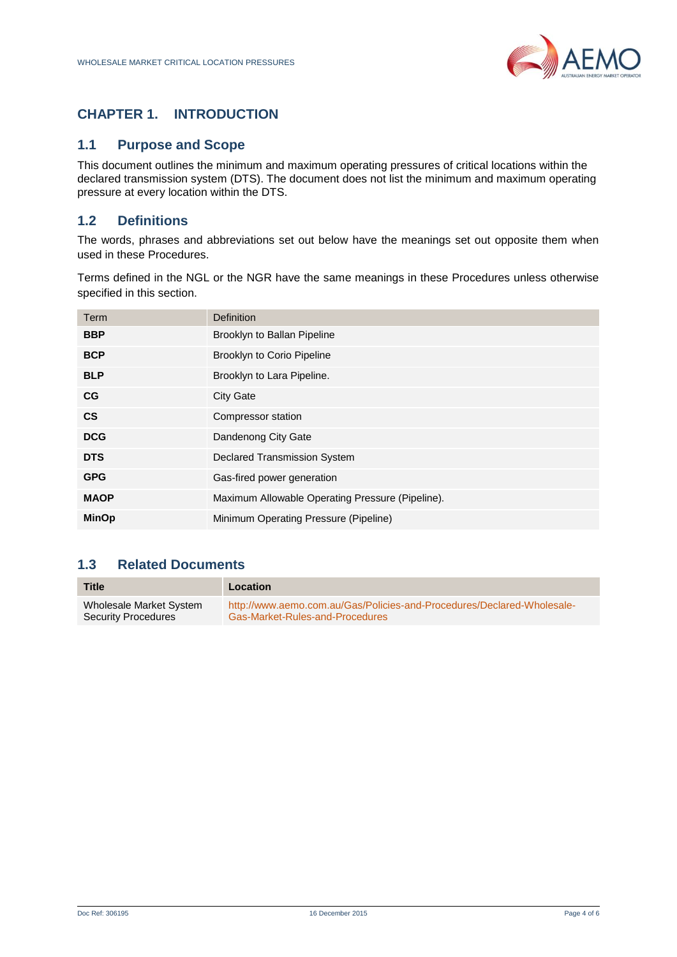

### <span id="page-3-0"></span>**CHAPTER 1. INTRODUCTION**

#### <span id="page-3-1"></span>**1.1 Purpose and Scope**

This document outlines the minimum and maximum operating pressures of critical locations within the declared transmission system (DTS). The document does not list the minimum and maximum operating pressure at every location within the DTS.

#### <span id="page-3-2"></span>**1.2 Definitions**

The words, phrases and abbreviations set out below have the meanings set out opposite them when used in these Procedures.

Terms defined in the NGL or the NGR have the same meanings in these Procedures unless otherwise specified in this section.

| Term          | Definition                                       |
|---------------|--------------------------------------------------|
| <b>BBP</b>    | Brooklyn to Ballan Pipeline                      |
| <b>BCP</b>    | <b>Brooklyn to Corio Pipeline</b>                |
| <b>BLP</b>    | Brooklyn to Lara Pipeline.                       |
| CG            | <b>City Gate</b>                                 |
| $\mathsf{cs}$ | Compressor station                               |
| <b>DCG</b>    | Dandenong City Gate                              |
| <b>DTS</b>    | <b>Declared Transmission System</b>              |
| <b>GPG</b>    | Gas-fired power generation                       |
| <b>MAOP</b>   | Maximum Allowable Operating Pressure (Pipeline). |
| <b>MinOp</b>  | Minimum Operating Pressure (Pipeline)            |

#### <span id="page-3-3"></span>**1.3 Related Documents**

| <b>Title</b>            | Location                                                               |
|-------------------------|------------------------------------------------------------------------|
| Wholesale Market System | http://www.aemo.com.au/Gas/Policies-and-Procedures/Declared-Wholesale- |
| Security Procedures     | <b>Gas-Market-Rules-and-Procedures</b>                                 |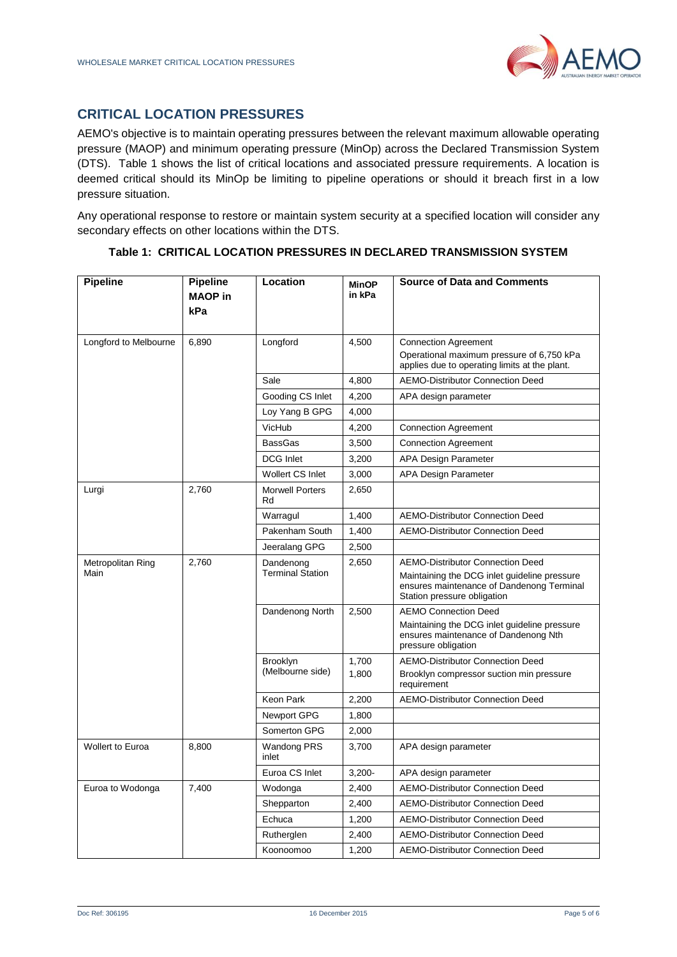### <span id="page-4-0"></span>**CRITICAL LOCATION PRESSURES**

AEMO's objective is to maintain operating pressures between the relevant maximum allowable operating pressure (MAOP) and minimum operating pressure (MinOp) across the Declared Transmission System (DTS). [Table 1](#page-4-1) shows the list of critical locations and associated pressure requirements. A location is deemed critical should its MinOp be limiting to pipeline operations or should it breach first in a low pressure situation.

Any operational response to restore or maintain system security at a specified location will consider any secondary effects on other locations within the DTS.

<span id="page-4-1"></span>

| <b>Pipeline</b>           | <b>Pipeline</b><br><b>MAOP</b> in<br>kPa | Location                             | <b>MinOP</b><br>in kPa | <b>Source of Data and Comments</b>                                                                                                                                  |
|---------------------------|------------------------------------------|--------------------------------------|------------------------|---------------------------------------------------------------------------------------------------------------------------------------------------------------------|
| Longford to Melbourne     | 6,890                                    | Longford                             | 4,500                  | <b>Connection Agreement</b>                                                                                                                                         |
|                           |                                          |                                      |                        | Operational maximum pressure of 6,750 kPa<br>applies due to operating limits at the plant.                                                                          |
|                           |                                          | Sale                                 | 4,800                  | <b>AEMO-Distributor Connection Deed</b>                                                                                                                             |
|                           |                                          | Gooding CS Inlet                     | 4,200                  | APA design parameter                                                                                                                                                |
|                           |                                          | Loy Yang B GPG                       | 4,000                  |                                                                                                                                                                     |
|                           |                                          | VicHub                               | 4,200                  | <b>Connection Agreement</b>                                                                                                                                         |
|                           |                                          | <b>BassGas</b>                       | 3,500                  | <b>Connection Agreement</b>                                                                                                                                         |
|                           |                                          | <b>DCG</b> Inlet                     | 3,200                  | APA Design Parameter                                                                                                                                                |
|                           |                                          | <b>Wollert CS Inlet</b>              | 3,000                  | APA Design Parameter                                                                                                                                                |
| Lurgi                     | 2,760                                    | <b>Morwell Porters</b><br>Rd         | 2,650                  |                                                                                                                                                                     |
|                           |                                          | Warragul                             | 1,400                  | <b>AEMO-Distributor Connection Deed</b>                                                                                                                             |
|                           |                                          | Pakenham South                       | 1,400                  | <b>AEMO-Distributor Connection Deed</b>                                                                                                                             |
|                           |                                          | Jeeralang GPG                        | 2,500                  |                                                                                                                                                                     |
| Metropolitan Ring<br>Main | 2,760                                    | Dandenong<br><b>Terminal Station</b> | 2,650                  | <b>AEMO-Distributor Connection Deed</b><br>Maintaining the DCG inlet guideline pressure<br>ensures maintenance of Dandenong Terminal<br>Station pressure obligation |
|                           |                                          | Dandenong North                      | 2,500                  | <b>AEMO Connection Deed</b><br>Maintaining the DCG inlet guideline pressure<br>ensures maintenance of Dandenong Nth<br>pressure obligation                          |
|                           |                                          | <b>Brooklyn</b><br>(Melbourne side)  | 1,700                  | <b>AEMO-Distributor Connection Deed</b>                                                                                                                             |
|                           |                                          |                                      | 1,800                  | Brooklyn compressor suction min pressure<br>requirement                                                                                                             |
|                           |                                          | Keon Park                            | 2,200                  | <b>AEMO-Distributor Connection Deed</b>                                                                                                                             |
|                           |                                          | Newport GPG                          | 1,800                  |                                                                                                                                                                     |
|                           |                                          | Somerton GPG                         | 2,000                  |                                                                                                                                                                     |
| <b>Wollert to Euroa</b>   | 8,800                                    | Wandong PRS<br>inlet                 | 3,700                  | APA design parameter                                                                                                                                                |
|                           |                                          | Euroa CS Inlet                       | $3,200 -$              | APA design parameter                                                                                                                                                |
| Euroa to Wodonga          | 7,400                                    | Wodonga                              | 2,400                  | <b>AEMO-Distributor Connection Deed</b>                                                                                                                             |
|                           |                                          | Shepparton                           | 2,400                  | <b>AEMO-Distributor Connection Deed</b>                                                                                                                             |
|                           |                                          | Echuca                               | 1,200                  | <b>AEMO-Distributor Connection Deed</b>                                                                                                                             |
|                           |                                          | Rutherglen                           | 2,400                  | <b>AEMO-Distributor Connection Deed</b>                                                                                                                             |
|                           |                                          | Koonoomoo                            | 1,200                  | <b>AEMO-Distributor Connection Deed</b>                                                                                                                             |

#### **Table 1: CRITICAL LOCATION PRESSURES IN DECLARED TRANSMISSION SYSTEM**